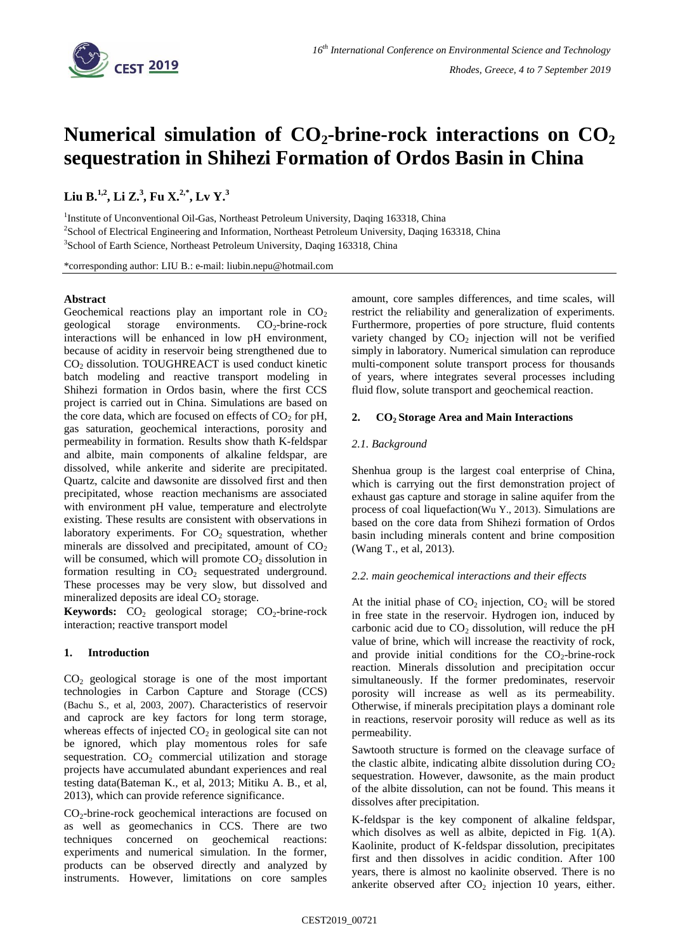

# **Numerical simulation of CO2-brine-rock interactions on CO<sup>2</sup> sequestration in Shihezi Formation of Ordos Basin in China**

**Liu B. 1,2 , Li Z. 3 , Fu X. 2,\* , Lv Y. 3**

<sup>1</sup>Institute of Unconventional Oil-Gas, Northeast Petroleum University, Daqing 163318, China 2 School of Electrical Engineering and Information, Northeast Petroleum University, Daqing 163318, China <sup>3</sup>School of Earth Science, Northeast Petroleum University, Daqing 163318, China

\*corresponding author: LIU B.: e-mail: liubin.nepu@hotmail.com

# **Abstract**

Geochemical reactions play an important role in  $CO<sub>2</sub>$ geological storage environments.  $CO<sub>2</sub>$ -brine-rock interactions will be enhanced in low pH environment, because of acidity in reservoir being strengthened due to CO<sup>2</sup> dissolution. TOUGHREACT is used conduct kinetic batch modeling and reactive transport modeling in Shihezi formation in Ordos basin, where the first CCS project is carried out in China. Simulations are based on the core data, which are focused on effects of  $CO<sub>2</sub>$  for pH, gas saturation, geochemical interactions, porosity and permeability in formation. Results show thath K-feldspar and albite, main components of alkaline feldspar, are dissolved, while ankerite and siderite are precipitated. Quartz, calcite and dawsonite are dissolved first and then precipitated, whose reaction mechanisms are associated with environment pH value, temperature and electrolyte existing. These results are consistent with observations in laboratory experiments. For  $CO<sub>2</sub>$  squestration, whether minerals are dissolved and precipitated, amount of  $CO<sub>2</sub>$ will be consumed, which will promote  $CO<sub>2</sub>$  dissolution in formation resulting in  $CO<sub>2</sub>$  sequestrated underground. These processes may be very slow, but dissolved and mineralized deposits are ideal  $CO<sub>2</sub>$  storage.

**Keywords:**  $CO<sub>2</sub>$  geological storage;  $CO<sub>2</sub>$ -brine-rock interaction; reactive transport model

# **1. Introduction**

 $CO<sub>2</sub>$  geological storage is one of the most important technologies in Carbon Capture and Storage (CCS) (Bachu S., et al, 2003, 2007). Characteristics of reservoir and caprock are key factors for long term storage, whereas effects of injected  $CO<sub>2</sub>$  in geological site can not be ignored, which play momentous roles for safe sequestration.  $CO<sub>2</sub>$  commercial utilization and storage projects have accumulated abundant experiences and real testing data(Bateman K., et al, 2013; Mitiku A. B., et al, 2013), which can provide reference significance.

 $CO<sub>2</sub>$ -brine-rock geochemical interactions are focused on as well as geomechanics in CCS. There are two techniques concerned on geochemical reactions: experiments and numerical simulation. In the former, products can be observed directly and analyzed by instruments. However, limitations on core samples

amount, core samples differences, and time scales, will restrict the reliability and generalization of experiments. Furthermore, properties of pore structure, fluid contents variety changed by  $CO<sub>2</sub>$  injection will not be verified simply in laboratory. Numerical simulation can reproduce multi-component solute transport process for thousands of years, where integrates several processes including fluid flow, solute transport and geochemical reaction.

# **2. CO2 Storage Area and Main Interactions**

## *2.1. Background*

Shenhua group is the largest coal enterprise of China, which is carrying out the first demonstration project of exhaust gas capture and storage in saline aquifer from the process of coal liquefaction(Wu Y., 2013). Simulations are based on the core data from Shihezi formation of Ordos basin including minerals content and brine composition (Wang T., et al, 2013).

## *2.2. main geochemical interactions and their effects*

At the initial phase of  $CO<sub>2</sub>$  injection,  $CO<sub>2</sub>$  will be stored in free state in the reservoir. Hydrogen ion, induced by carbonic acid due to  $CO<sub>2</sub>$  dissolution, will reduce the pH value of brine, which will increase the reactivity of rock, and provide initial conditions for the  $CO<sub>2</sub>$ -brine-rock reaction. Minerals dissolution and precipitation occur simultaneously. If the former predominates, reservoir porosity will increase as well as its permeability. Otherwise, if minerals precipitation plays a dominant role in reactions, reservoir porosity will reduce as well as its permeability.

Sawtooth structure is formed on the cleavage surface of the clastic albite, indicating albite dissolution during  $CO<sub>2</sub>$ sequestration. However, dawsonite, as the main product of the albite dissolution, can not be found. This means it dissolves after precipitation.

K-feldspar is the key component of alkaline feldspar, which disolves as well as albite, depicted in Fig. 1(A). Kaolinite, product of K-feldspar dissolution, precipitates first and then dissolves in acidic condition. After 100 years, there is almost no kaolinite observed. There is no ankerite observed after  $CO<sub>2</sub>$  injection 10 years, either.